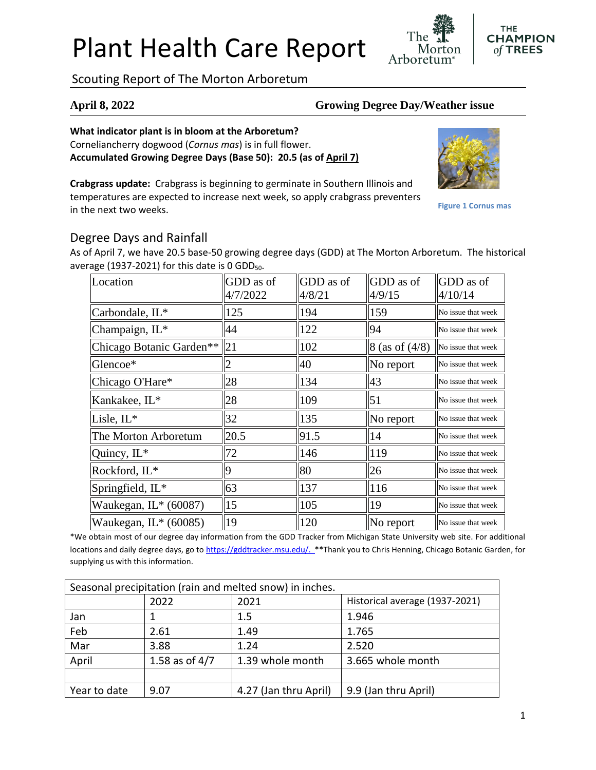# Plant Health Care Report

Scouting Report of The Morton Arboretum

### **April 8, 2022 Growing Degree Day/Weather issue**

Arboretum

**What indicator plant is in bloom at the Arboretum?** Corneliancherry dogwood (*Cornus mas*) is in full flower. **Accumulated Growing Degree Days (Base 50): 20.5 (as of April 7)**

**Crabgrass update:** Crabgrass is beginning to germinate in Southern Illinois and temperatures are expected to increase next week, so apply crabgrass preventers in the next two weeks.

GDD as of

# Degree Days and Rainfall

As of April 7, we have 20.5 base-50 growing degree days (GDD) at The Morton Arboretum. The historical average (1937-2021) for this date is  $0$  GDD<sub>50</sub>.

| Location                 | GDD as of<br>4/7/2022 | GDD as of<br>4/8/21 | GDD as of<br>4/9/15  | <b>GDD</b> as of<br>4/10/14 |
|--------------------------|-----------------------|---------------------|----------------------|-----------------------------|
| Carbondale, IL*          | 125                   | 194                 | 159                  | No issue that week          |
| Champaign, IL*           | 44                    | 122                 | 94                   | No issue that week          |
| Chicago Botanic Garden** | 21                    | 102                 | $8$ (as of $(4/8)$ ) | No issue that week          |
| Glencoe*                 |                       | 40                  | No report            | No issue that week          |
| Chicago O'Hare*          | 28                    | 134                 | 43                   | No issue that week          |
| Kankakee, IL*            | 28                    | 109                 | 51                   | No issue that week          |
| Lisle, $IL^*$            | 32                    | 135                 | No report            | No issue that week          |
| The Morton Arboretum     | 20.5                  | 91.5                | 14                   | No issue that week          |
| Quincy, $IL^*$           | 72                    | 146                 | 119                  | No issue that week          |
| Rockford, IL*            | Ig                    | 80                  | 26                   | No issue that week          |
| Springfield, IL*         | 63                    | 137                 | 116                  | No issue that week          |
| Waukegan, IL* (60087)    | 15                    | 105                 | 19                   | No issue that week          |
| Waukegan, $IL^*(60085)$  | $ 19\rangle$          | 120                 | No report            | No issue that week          |

\*We obtain most of our degree day information from the GDD Tracker from Michigan State University web site. For additional locations and daily degree days, go to [https://gddtracker.msu.edu/.](https://gddtracker.msu.edu/) \*\*Thank you to Chris Henning, Chicago Botanic Garden, for supplying us with this information.

| Seasonal precipitation (rain and melted snow) in inches. |                  |                       |                                |  |  |  |
|----------------------------------------------------------|------------------|-----------------------|--------------------------------|--|--|--|
|                                                          | 2022             | 2021                  | Historical average (1937-2021) |  |  |  |
| Jan                                                      |                  | 1.5                   | 1.946                          |  |  |  |
| Feb                                                      | 2.61             | 1.49                  | 1.765                          |  |  |  |
| Mar                                                      | 3.88             | 1.24                  | 2.520                          |  |  |  |
| April                                                    | 1.58 as of $4/7$ | 1.39 whole month      | 3.665 whole month              |  |  |  |
|                                                          |                  |                       |                                |  |  |  |
| Year to date                                             | 9.07             | 4.27 (Jan thru April) | 9.9 (Jan thru April)           |  |  |  |



**Figure 1 Cornus mas**